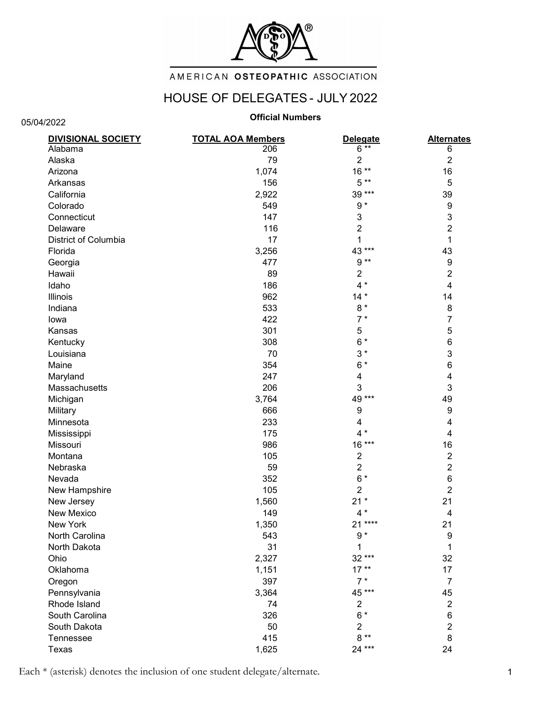

# AMERICAN OSTEOPATHIC ASSOCIATION

# HOUSE OF DELEGATES - JULY 2022

05/04/2022

## Official Numbers

| <b>DIVISIONAL SOCIETY</b> | <b>TOTAL AOA Members</b> | <b>Delegate</b>         | <b>Alternates</b>         |
|---------------------------|--------------------------|-------------------------|---------------------------|
| Alabama                   | 206                      | $6^{x*}$                | 6                         |
| Alaska                    | 79                       | 2                       | $\overline{2}$            |
| Arizona                   | 1,074                    | $16**$                  | 16                        |
| Arkansas                  | 156                      | $5**$                   | 5                         |
| California                | 2,922                    | 39 ***                  | 39                        |
| Colorado                  | 549                      | $9 *$                   | 9                         |
| Connecticut               | 147                      | 3                       | $\ensuremath{\mathsf{3}}$ |
| Delaware                  | 116                      | $\overline{2}$          | $\overline{2}$            |
| District of Columbia      | 17                       | 1                       | 1                         |
| Florida                   | 3,256                    | 43 ***                  | 43                        |
| Georgia                   | 477                      | $9**$                   | 9                         |
| Hawaii                    | 89                       | $\overline{\mathbf{c}}$ | $\overline{2}$            |
| Idaho                     | 186                      | $4 *$                   | $\overline{\mathbf{4}}$   |
| Illinois                  | 962                      | $14*$                   | 14                        |
| Indiana                   | 533                      | $8*$                    | 8                         |
| lowa                      | 422                      | $7*$                    | $\overline{7}$            |
| Kansas                    | 301                      | 5                       | 5                         |
| Kentucky                  | 308                      | $6*$                    | 6                         |
| Louisiana                 | 70                       | $3*$                    | 3                         |
| Maine                     | 354                      | $6*$                    | 6                         |
| Maryland                  | 247                      | 4                       | 4                         |
| Massachusetts             | 206                      | 3                       | 3                         |
| Michigan                  | 3,764                    | 49 ***                  | 49                        |
| Military                  | 666                      | 9                       | 9                         |
| Minnesota                 | 233                      | 4                       | 4                         |
| Mississippi               | 175                      | $4 *$                   | 4                         |
| Missouri                  | 986                      | 16 ***                  | 16                        |
| Montana                   | 105                      | $\overline{2}$          | $\boldsymbol{2}$          |
| Nebraska                  | 59                       | $\overline{c}$          | $\overline{2}$            |
| Nevada                    | 352                      | $6*$                    | $\,6$                     |
| New Hampshire             | 105                      | $\overline{2}$          | $\overline{2}$            |
| New Jersey                | 1,560                    | $21*$                   | 21                        |
| <b>New Mexico</b>         | 149                      | $4 *$                   | 4                         |
| New York                  | 1,350                    | 21 ****                 | 21                        |
| North Carolina            | 543                      | $9 *$                   | 9                         |
| North Dakota              | 31                       | 1                       | 1                         |
| Ohio                      | 2,327                    | 32***                   | 32                        |
| Oklahoma                  | 1,151                    | $17**$                  | 17                        |
| Oregon                    | 397                      | $7*$                    | $\overline{7}$            |
| Pennsylvania              | 3,364                    | 45 ***                  | 45                        |
| Rhode Island              | 74                       | $\overline{c}$          | $\overline{2}$            |
| South Carolina            | 326                      | $6*$                    | 6                         |
| South Dakota              | 50                       | $\overline{2}$          | $\overline{2}$            |
| Tennessee                 | 415                      | $8**$                   | 8                         |
| Texas                     | 1,625                    | 24 ***                  | 24                        |

Each \* (asterisk) denotes the inclusion of one student delegate/alternate. 1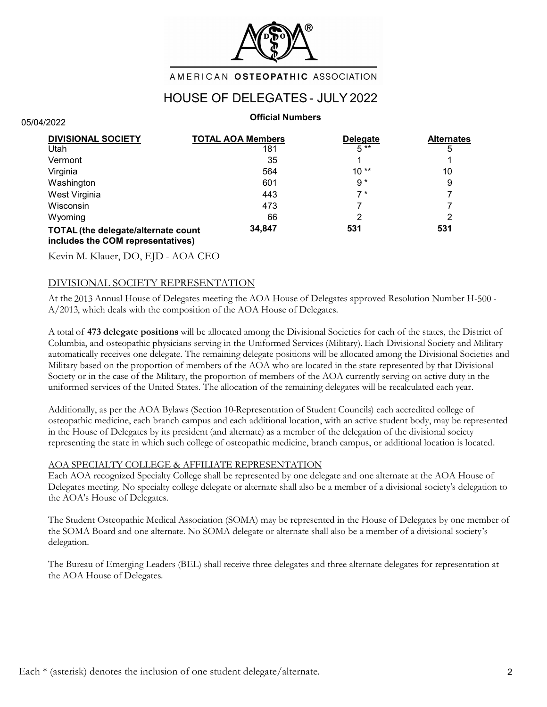

### AMERICAN OSTEOPATHIC ASSOCIATION

# HOUSE OF DELEGATES - JULY 2022

### Official Numbers

| DIVISIONAL SOCIETY                                                       | <b>TOTAL AOA Members</b> | <b>Delegate</b> | <b>Alternates</b> |
|--------------------------------------------------------------------------|--------------------------|-----------------|-------------------|
| Utah                                                                     | 181                      | $5**$           | 5                 |
| Vermont                                                                  | 35                       |                 |                   |
| Virginia                                                                 | 564                      | $10**$          | 10                |
| Washington                                                               | 601                      | $9*$            | 9                 |
| West Virginia                                                            | 443                      | 7*              |                   |
| Wisconsin                                                                | 473                      |                 |                   |
| Wyoming                                                                  | 66                       | 2               |                   |
| TOTAL (the delegate/alternate count<br>includes the COM representatives) | 34,847                   | 531             | 531               |

Kevin M. Klauer, DO, EJD - AOA CEO

05/04/2022

### DIVISIONAL SOCIETY REPRESENTATION

At the 2013 Annual House of Delegates meeting the AOA House of Delegates approved Resolution Number H-500 - A/2013, which deals with the composition of the AOA House of Delegates.

A total of 473 delegate positions will be allocated among the Divisional Societies for each of the states, the District of Columbia, and osteopathic physicians serving in the Uniformed Services (Military). Each Divisional Society and Military automatically receives one delegate. The remaining delegate positions will be allocated among the Divisional Societies and Military based on the proportion of members of the AOA who are located in the state represented by that Divisional Society or in the case of the Military, the proportion of members of the AOA currently serving on active duty in the uniformed services of the United States. The allocation of the remaining delegates will be recalculated each year.

Additionally, as per the AOA Bylaws (Section 10-Representation of Student Councils) each accredited college of osteopathic medicine, each branch campus and each additional location, with an active student body, may be represented in the House of Delegates by its president (and alternate) as a member of the delegation of the divisional society representing the state in which such college of osteopathic medicine, branch campus, or additional location is located.

### AOA SPECIALTY COLLEGE & AFFILIATE REPRESENTATION

Each AOA recognized Specialty College shall be represented by one delegate and one alternate at the AOA House of Delegates meeting. No specialty college delegate or alternate shall also be a member of a divisional society's delegation to the AOA's House of Delegates.

The Student Osteopathic Medical Association (SOMA) may be represented in the House of Delegates by one member of the SOMA Board and one alternate. No SOMA delegate or alternate shall also be a member of a divisional society's delegation.

The Bureau of Emerging Leaders (BEL) shall receive three delegates and three alternate delegates for representation at the AOA House of Delegates.